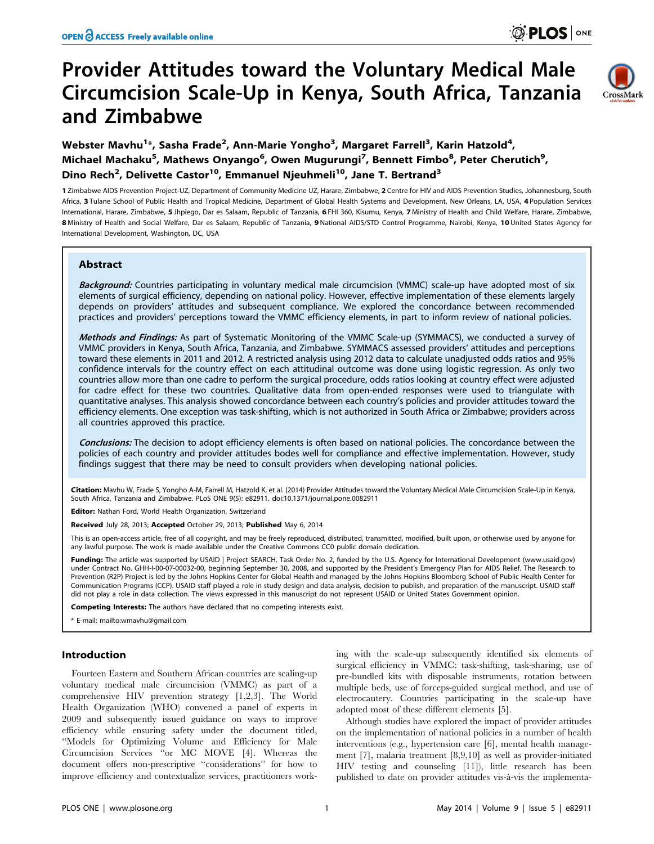# Provider Attitudes toward the Voluntary Medical Male Circumcision Scale-Up in Kenya, South Africa, Tanzania and Zimbabwe



## Webster Mavhu<sup>1</sup>\*, Sasha Frade<sup>2</sup>, Ann-Marie Yongho<sup>3</sup>, Margaret Farrell<sup>3</sup>, Karin Hatzold<sup>4</sup>, Michael Machaku<sup>5</sup>, Mathews Onyango<sup>6</sup>, Owen Mugurungi<sup>7</sup>, Bennett Fimbo<sup>8</sup>, Peter Cherutich<sup>9</sup>, Dino Rech<sup>2</sup>, Delivette Castor<sup>10</sup>, Emmanuel Njeuhmeli<sup>10</sup>, Jane T. Bertrand<sup>3</sup>

1 Zimbabwe AIDS Prevention Project-UZ, Department of Community Medicine UZ, Harare, Zimbabwe, 2 Centre for HIV and AIDS Prevention Studies, Johannesburg, South Africa, 3 Tulane School of Public Health and Tropical Medicine, Department of Global Health Systems and Development, New Orleans, LA, USA, 4 Population Services International, Harare, Zimbabwe, 5 Jhpiego, Dar es Salaam, Republic of Tanzania, 6 FHI 360, Kisumu, Kenya, 7 Ministry of Health and Child Welfare, Harare, Zimbabwe, 8 Ministry of Health and Social Welfare, Dar es Salaam, Republic of Tanzania, 9 National AIDS/STD Control Programme, Nairobi, Kenya, 10 United States Agency for International Development, Washington, DC, USA

## Abstract

Background: Countries participating in voluntary medical male circumcision (VMMC) scale-up have adopted most of six elements of surgical efficiency, depending on national policy. However, effective implementation of these elements largely depends on providers' attitudes and subsequent compliance. We explored the concordance between recommended practices and providers' perceptions toward the VMMC efficiency elements, in part to inform review of national policies.

Methods and Findings: As part of Systematic Monitoring of the VMMC Scale-up (SYMMACS), we conducted a survey of VMMC providers in Kenya, South Africa, Tanzania, and Zimbabwe. SYMMACS assessed providers' attitudes and perceptions toward these elements in 2011 and 2012. A restricted analysis using 2012 data to calculate unadjusted odds ratios and 95% confidence intervals for the country effect on each attitudinal outcome was done using logistic regression. As only two countries allow more than one cadre to perform the surgical procedure, odds ratios looking at country effect were adjusted for cadre effect for these two countries. Qualitative data from open-ended responses were used to triangulate with quantitative analyses. This analysis showed concordance between each country's policies and provider attitudes toward the efficiency elements. One exception was task-shifting, which is not authorized in South Africa or Zimbabwe; providers across all countries approved this practice.

Conclusions: The decision to adopt efficiency elements is often based on national policies. The concordance between the policies of each country and provider attitudes bodes well for compliance and effective implementation. However, study findings suggest that there may be need to consult providers when developing national policies.

Citation: Mavhu W, Frade S, Yongho A-M, Farrell M, Hatzold K, et al. (2014) Provider Attitudes toward the Voluntary Medical Male Circumcision Scale-Up in Kenya, South Africa, Tanzania and Zimbabwe. PLoS ONE 9(5): e82911. doi:10.1371/journal.pone.0082911

Editor: Nathan Ford, World Health Organization, Switzerland

Received July 28, 2013; Accepted October 29, 2013; Published May 6, 2014

This is an open-access article, free of all copyright, and may be freely reproduced, distributed, transmitted, modified, built upon, or otherwise used by anyone for any lawful purpose. The work is made available under the Creative Commons CC0 public domain dedication.

Funding: The article was supported by USAID | Project SEARCH, Task Order No. 2, funded by the U.S. Agency for International Development ([www.usaid.gov\)](www.usaid.gov) under Contract No. GHH-I-00-07-00032-00, beginning September 30, 2008, and supported by the President's Emergency Plan for AIDS Relief. The Research to Prevention (R2P) Project is led by the Johns Hopkins Center for Global Health and managed by the Johns Hopkins Bloomberg School of Public Health Center for Communication Programs (CCP). USAID staff played a role in study design and data analysis, decision to publish, and preparation of the manuscript. USAID staff did not play a role in data collection. The views expressed in this manuscript do not represent USAID or United States Government opinion.

Competing Interests: The authors have declared that no competing interests exist.

\* E-mail: mailto:wmavhu@gmail.com

## Introduction

Fourteen Eastern and Southern African countries are scaling-up voluntary medical male circumcision (VMMC) as part of a comprehensive HIV prevention strategy [1,2,3]. The World Health Organization (WHO) convened a panel of experts in 2009 and subsequently issued guidance on ways to improve efficiency while ensuring safety under the document titled, ''Models for Optimizing Volume and Efficiency for Male Circumcision Services ''or MC MOVE [4]. Whereas the document offers non-prescriptive ''considerations'' for how to improve efficiency and contextualize services, practitioners working with the scale-up subsequently identified six elements of surgical efficiency in VMMC: task-shifting, task-sharing, use of pre-bundled kits with disposable instruments, rotation between multiple beds, use of forceps-guided surgical method, and use of electrocautery. Countries participating in the scale-up have adopted most of these different elements [5].

Although studies have explored the impact of provider attitudes on the implementation of national policies in a number of health interventions (e.g., hypertension care [6], mental health management [7], malaria treatment [8,9,10] as well as provider-initiated HIV testing and counseling [11]), little research has been published to date on provider attitudes vis-à-vis the implementa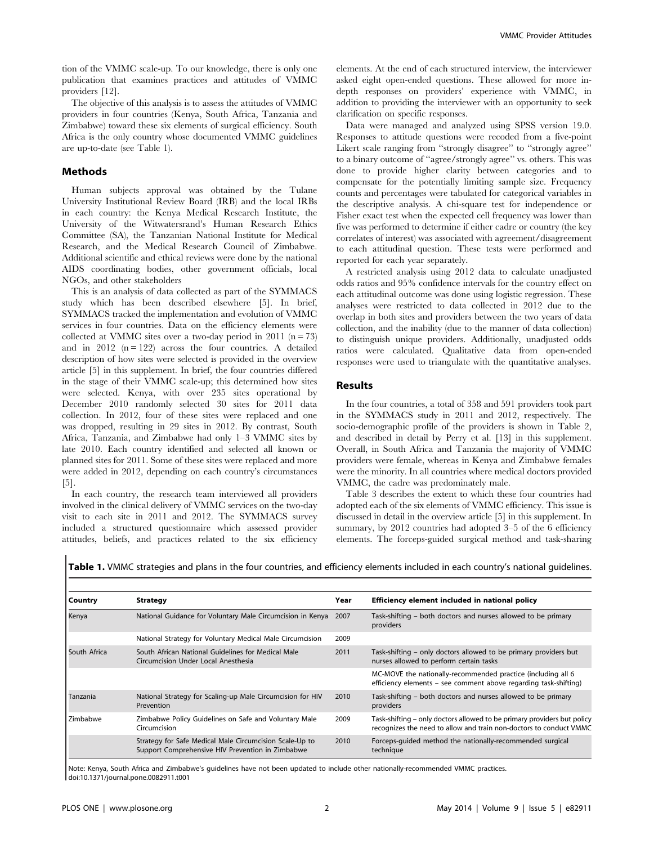tion of the VMMC scale-up. To our knowledge, there is only one publication that examines practices and attitudes of VMMC providers [12].

The objective of this analysis is to assess the attitudes of VMMC providers in four countries (Kenya, South Africa, Tanzania and Zimbabwe) toward these six elements of surgical efficiency. South Africa is the only country whose documented VMMC guidelines are up-to-date (see Table 1).

## Methods

Human subjects approval was obtained by the Tulane University Institutional Review Board (IRB) and the local IRBs in each country: the Kenya Medical Research Institute, the University of the Witwatersrand's Human Research Ethics Committee (SA), the Tanzanian National Institute for Medical Research, and the Medical Research Council of Zimbabwe. Additional scientific and ethical reviews were done by the national AIDS coordinating bodies, other government officials, local NGOs, and other stakeholders

This is an analysis of data collected as part of the SYMMACS study which has been described elsewhere [5]. In brief, SYMMACS tracked the implementation and evolution of VMMC services in four countries. Data on the efficiency elements were collected at VMMC sites over a two-day period in 2011 ( $n = 73$ ) and in 2012  $(n = 122)$  across the four countries. A detailed description of how sites were selected is provided in the overview article [5] in this supplement. In brief, the four countries differed in the stage of their VMMC scale-up; this determined how sites were selected. Kenya, with over 235 sites operational by December 2010 randomly selected 30 sites for 2011 data collection. In 2012, four of these sites were replaced and one was dropped, resulting in 29 sites in 2012. By contrast, South Africa, Tanzania, and Zimbabwe had only 1–3 VMMC sites by late 2010. Each country identified and selected all known or planned sites for 2011. Some of these sites were replaced and more were added in 2012, depending on each country's circumstances [5].

In each country, the research team interviewed all providers involved in the clinical delivery of VMMC services on the two-day visit to each site in 2011 and 2012. The SYMMACS survey included a structured questionnaire which assessed provider attitudes, beliefs, and practices related to the six efficiency

elements. At the end of each structured interview, the interviewer asked eight open-ended questions. These allowed for more indepth responses on providers' experience with VMMC, in addition to providing the interviewer with an opportunity to seek clarification on specific responses.

Data were managed and analyzed using SPSS version 19.0. Responses to attitude questions were recoded from a five-point Likert scale ranging from ''strongly disagree'' to ''strongly agree'' to a binary outcome of ''agree/strongly agree'' vs. others. This was done to provide higher clarity between categories and to compensate for the potentially limiting sample size. Frequency counts and percentages were tabulated for categorical variables in the descriptive analysis. A chi-square test for independence or Fisher exact test when the expected cell frequency was lower than five was performed to determine if either cadre or country (the key correlates of interest) was associated with agreement/disagreement to each attitudinal question. These tests were performed and reported for each year separately.

A restricted analysis using 2012 data to calculate unadjusted odds ratios and 95% confidence intervals for the country effect on each attitudinal outcome was done using logistic regression. These analyses were restricted to data collected in 2012 due to the overlap in both sites and providers between the two years of data collection, and the inability (due to the manner of data collection) to distinguish unique providers. Additionally, unadjusted odds ratios were calculated. Qualitative data from open-ended responses were used to triangulate with the quantitative analyses.

## Results

In the four countries, a total of 358 and 591 providers took part in the SYMMACS study in 2011 and 2012, respectively. The socio-demographic profile of the providers is shown in Table 2, and described in detail by Perry et al. [13] in this supplement. Overall, in South Africa and Tanzania the majority of VMMC providers were female, whereas in Kenya and Zimbabwe females were the minority. In all countries where medical doctors provided VMMC, the cadre was predominately male.

Table 3 describes the extent to which these four countries had adopted each of the six elements of VMMC efficiency. This issue is discussed in detail in the overview article [5] in this supplement. In summary, by 2012 countries had adopted 3–5 of the 6 efficiency elements. The forceps-guided surgical method and task-sharing

| Country      | Strategy                                                                                                    | Year | Efficiency element included in national policy                                                                                                |
|--------------|-------------------------------------------------------------------------------------------------------------|------|-----------------------------------------------------------------------------------------------------------------------------------------------|
| Kenya        | National Guidance for Voluntary Male Circumcision in Kenya                                                  | 2007 | Task-shifting – both doctors and nurses allowed to be primary<br>providers                                                                    |
|              | National Strategy for Voluntary Medical Male Circumcision                                                   | 2009 |                                                                                                                                               |
| South Africa | South African National Guidelines for Medical Male<br>Circumcision Under Local Anesthesia                   | 2011 | Task-shifting – only doctors allowed to be primary providers but<br>nurses allowed to perform certain tasks                                   |
|              |                                                                                                             |      | MC-MOVE the nationally-recommended practice (including all 6<br>efficiency elements - see comment above regarding task-shifting)              |
| Tanzania     | National Strategy for Scaling-up Male Circumcision for HIV<br>Prevention                                    | 2010 | Task-shifting – both doctors and nurses allowed to be primary<br>providers                                                                    |
| Zimbabwe     | Zimbabwe Policy Guidelines on Safe and Voluntary Male<br>Circumcision                                       | 2009 | Task-shifting – only doctors allowed to be primary providers but policy<br>recognizes the need to allow and train non-doctors to conduct VMMC |
|              | Strategy for Safe Medical Male Circumcision Scale-Up to<br>Support Comprehensive HIV Prevention in Zimbabwe | 2010 | Forceps-quided method the nationally-recommended surgical<br>technique                                                                        |
|              |                                                                                                             |      |                                                                                                                                               |

Table 1. VMMC strategies and plans in the four countries, and efficiency elements included in each country's national guidelines.

Note: Kenya, South Africa and Zimbabwe's guidelines have not been updated to include other nationally-recommended VMMC practices. doi:10.1371/journal.pone.0082911.t001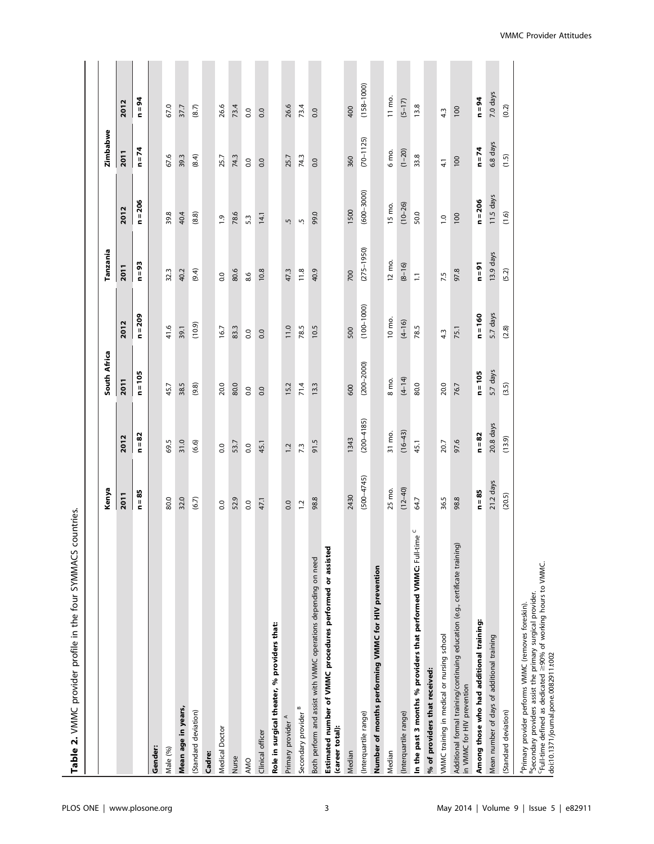| Kenya<br>$n = 85$<br>2011<br>80.0<br>32.0<br>(6.7)<br>52.9<br>$\overline{0}$ .<br>Mean age in years,<br>(Standard deviation)<br>Medical Doctor<br>Gender:<br>Male (%)<br>Cadre:<br>Nurse | $n = 82$<br>2012 | South Africa   |                  | Tanzania         |                  | Zimbabwe      |                |
|------------------------------------------------------------------------------------------------------------------------------------------------------------------------------------------|------------------|----------------|------------------|------------------|------------------|---------------|----------------|
|                                                                                                                                                                                          |                  |                |                  |                  |                  |               |                |
|                                                                                                                                                                                          |                  | 2011           | 2012             | 2011             | 2012             | <b>2011</b>   | 2012           |
|                                                                                                                                                                                          |                  | $n = 105$      | $n = 209$        | $n = 93$         | $n = 206$        | $n = 74$      | $n = 94$       |
|                                                                                                                                                                                          |                  |                |                  |                  |                  |               |                |
|                                                                                                                                                                                          | 69.5             | 45.7           | 41.6             | 32.3             | 39.8             | 67.6          | 67.0           |
|                                                                                                                                                                                          | 31.0             | 38.5           | 39.1             | 40.2             | 40.4             | 39.3          | 37.7           |
|                                                                                                                                                                                          | (6.6)            | (9.8)          | (10.9)           | (9.4)            | (8.8)            | (8.4)         | (8.7)          |
|                                                                                                                                                                                          |                  |                |                  |                  |                  |               |                |
|                                                                                                                                                                                          | 0.0              | 20.0           | 16.7             | $\overline{0.0}$ | $\ddot{0}$       | 25.7          | 26.6           |
|                                                                                                                                                                                          | 53.7             | 80.0           | 83.3             | 80.6             | 78.6             | 74.3          | 73.4           |
| $\overline{0}$<br>AMO                                                                                                                                                                    | 0.0              | $\overline{0}$ | 0.0              | 8.6              | 5.3              | 0.0           | 0.0            |
| 47.1<br>Clinical officer                                                                                                                                                                 | 45.1             | 0.0            | 0.0              | 10.8             | 14.1             | 0.0           | 0.0            |
| Role in surgical theater, % providers that:                                                                                                                                              |                  |                |                  |                  |                  |               |                |
| 0.0<br>Primary provider A                                                                                                                                                                | $\overline{1}$ . | 15.2           | 11.0             | 47.3             | Lņ               | 25.7          | 26.6           |
| $\overline{1}$<br>$\,$ $\,$<br>Secondary provider                                                                                                                                        | 73               | 71.4           | 78.5             | 11.8             | Lņ.              | 74.3          | 73.4           |
| 98.8<br>Both perform and assist with VMMC operations depending on need                                                                                                                   | 91.5             | 13.3           | 10.5             | 40.9             | 99.0             | 0.0           | 0.0            |
| Estimated number of VMMC procedures performed or assisted<br>(career total):                                                                                                             |                  |                |                  |                  |                  |               |                |
| 2430<br>Median                                                                                                                                                                           | 1343             | 600            | 500              | 700              | 1500             | 360           | 400            |
| $(500 - 4745)$<br>(Interquartile range)                                                                                                                                                  | $(200 - 4185)$   | $(200 - 2000)$ | $(100 - 1000)$   | $(275 - 1950)$   | $(600 - 3000)$   | $(70 - 1125)$ | $(158 - 1000)$ |
| Number of months performing VMMC for HIV prevention                                                                                                                                      |                  |                |                  |                  |                  |               |                |
| 25 mo.<br>Median                                                                                                                                                                         | 31 mo.           | 8 mo.          | 10 mo.           | 12 mo.           | 15 mo.           | 6 mo.         | $11$ mo.       |
| $(12 - 40)$<br>(Interquartile range)                                                                                                                                                     | $(16 - 43)$      | $(4 - 14)$     | $(4 - 16)$       | $(8 - 16)$       | $(10 - 26)$      | $(1 - 20)$    | $(5 - 17)$     |
| 64.7<br>$\cup$<br>In the past 3 months % providers that performed VMMC: Full-time                                                                                                        | 45.1             | 80.0           | 78.5             | $\Xi$            | 50.0             | 33.8          | 13.8           |
| % of providers that received:                                                                                                                                                            |                  |                |                  |                  |                  |               |                |
| 36.5<br>VMMC training in medical or nursing school                                                                                                                                       | 20.7             | 20.0           | $4.\overline{3}$ | 7.5              | $\overline{1.0}$ | 4.1           | 43             |
| 98.8<br>Additional formal training/continuing education (e.g., certificate training)<br>in VMMC for HIV prevention                                                                       | 97.6             | 76.7           | 75.1             | 97.8             | 100              | 100           | 100            |
| $n = 85$<br>Among those who had additional training:                                                                                                                                     | $n = 82$         | $n = 105$      | $n = 160$        | $n = 91$         | $n = 206$        | $n = 74$      | $n = 94$       |
| 21.2 days<br>Mean number of days of additional training                                                                                                                                  | $20.8$ days      | 5.7 days       | 5.7 days         | 13.9 days        | 11.5 days        | 6.8 days      | 7.0 days       |
| (20.5)<br>(Standard deviation)                                                                                                                                                           | (13.9)           | (3.5)          | (2.8)            | (5.2)            | (1.6)            | (1.5)         | (0.2)          |

<sup>I 8</sup>Secondary providers assist the primary surgical provider.<br><sup>1</sup>Full-time defined as dedicated ≥90% of working hours to WMMC.<br>I doi:10.1371/journal.pone.0082911.t002  $\geq$ 90% of working hours to VMMC. <sup>B</sup>Secondary providers assist the primary surgical provider. CFull-time defined as dedicated

doi:10.1371/journal.pone.0082911.t002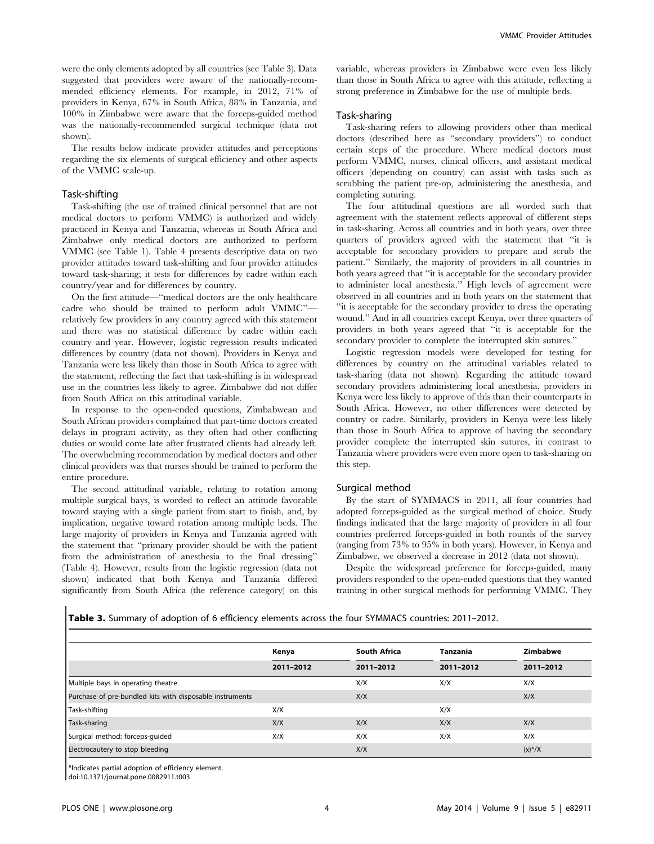were the only elements adopted by all countries (see Table 3). Data suggested that providers were aware of the nationally-recommended efficiency elements. For example, in 2012, 71% of providers in Kenya, 67% in South Africa, 88% in Tanzania, and 100% in Zimbabwe were aware that the forceps-guided method was the nationally-recommended surgical technique (data not shown).

The results below indicate provider attitudes and perceptions regarding the six elements of surgical efficiency and other aspects of the VMMC scale-up.

## Task-shifting

Task-shifting (the use of trained clinical personnel that are not medical doctors to perform VMMC) is authorized and widely practiced in Kenya and Tanzania, whereas in South Africa and Zimbabwe only medical doctors are authorized to perform VMMC (see Table 1). Table 4 presents descriptive data on two provider attitudes toward task-shifting and four provider attitudes toward task-sharing; it tests for differences by cadre within each country/year and for differences by country.

On the first attitude—''medical doctors are the only healthcare cadre who should be trained to perform adult VMMC'' relatively few providers in any country agreed with this statement and there was no statistical difference by cadre within each country and year. However, logistic regression results indicated differences by country (data not shown). Providers in Kenya and Tanzania were less likely than those in South Africa to agree with the statement, reflecting the fact that task-shifting is in widespread use in the countries less likely to agree. Zimbabwe did not differ from South Africa on this attitudinal variable.

In response to the open-ended questions, Zimbabwean and South African providers complained that part-time doctors created delays in program activity, as they often had other conflicting duties or would come late after frustrated clients had already left. The overwhelming recommendation by medical doctors and other clinical providers was that nurses should be trained to perform the entire procedure.

The second attitudinal variable, relating to rotation among multiple surgical bays, is worded to reflect an attitude favorable toward staying with a single patient from start to finish, and, by implication, negative toward rotation among multiple beds. The large majority of providers in Kenya and Tanzania agreed with the statement that ''primary provider should be with the patient from the administration of anesthesia to the final dressing'' (Table 4). However, results from the logistic regression (data not shown) indicated that both Kenya and Tanzania differed significantly from South Africa (the reference category) on this variable, whereas providers in Zimbabwe were even less likely than those in South Africa to agree with this attitude, reflecting a strong preference in Zimbabwe for the use of multiple beds.

## Task-sharing

Task-sharing refers to allowing providers other than medical doctors (described here as ''secondary providers'') to conduct certain steps of the procedure. Where medical doctors must perform VMMC, nurses, clinical officers, and assistant medical officers (depending on country) can assist with tasks such as scrubbing the patient pre-op, administering the anesthesia, and completing suturing.

The four attitudinal questions are all worded such that agreement with the statement reflects approval of different steps in task-sharing. Across all countries and in both years, over three quarters of providers agreed with the statement that ''it is acceptable for secondary providers to prepare and scrub the patient.'' Similarly, the majority of providers in all countries in both years agreed that ''it is acceptable for the secondary provider to administer local anesthesia.'' High levels of agreement were observed in all countries and in both years on the statement that ''it is acceptable for the secondary provider to dress the operating wound.'' And in all countries except Kenya, over three quarters of providers in both years agreed that ''it is acceptable for the secondary provider to complete the interrupted skin sutures.''

Logistic regression models were developed for testing for differences by country on the attitudinal variables related to task-sharing (data not shown). Regarding the attitude toward secondary providers administering local anesthesia, providers in Kenya were less likely to approve of this than their counterparts in South Africa. However, no other differences were detected by country or cadre. Similarly, providers in Kenya were less likely than those in South Africa to approve of having the secondary provider complete the interrupted skin sutures, in contrast to Tanzania where providers were even more open to task-sharing on this step.

#### Surgical method

By the start of SYMMACS in 2011, all four countries had adopted forceps-guided as the surgical method of choice. Study findings indicated that the large majority of providers in all four countries preferred forceps-guided in both rounds of the survey (ranging from 73% to 95% in both years). However, in Kenya and Zimbabwe, we observed a decrease in 2012 (data not shown).

Despite the widespread preference for forceps-guided, many providers responded to the open-ended questions that they wanted training in other surgical methods for performing VMMC. They

Table 3. Summary of adoption of 6 efficiency elements across the four SYMMACS countries: 2011-2012.

|                                                          | Kenya     | South Africa | <b>Tanzania</b> | Zimbabwe              |
|----------------------------------------------------------|-----------|--------------|-----------------|-----------------------|
|                                                          | 2011-2012 | 2011-2012    | 2011-2012       | 2011-2012             |
| Multiple bays in operating theatre                       |           | X/X          | X/X             | X/X                   |
| Purchase of pre-bundled kits with disposable instruments |           | X/X          |                 | X/X                   |
| Task-shifting                                            | X/X       |              | X/X             |                       |
| Task-sharing                                             | X/X       | X/X          | X/X             | X/X                   |
| Surgical method: forceps-guided                          | X/X       | X/X          | X/X             | X/X                   |
| Electrocautery to stop bleeding                          |           | X/X          |                 | $(x)$ <sup>*</sup> /X |

\*Indicates partial adoption of efficiency element.

doi:10.1371/journal.pone.0082911.t003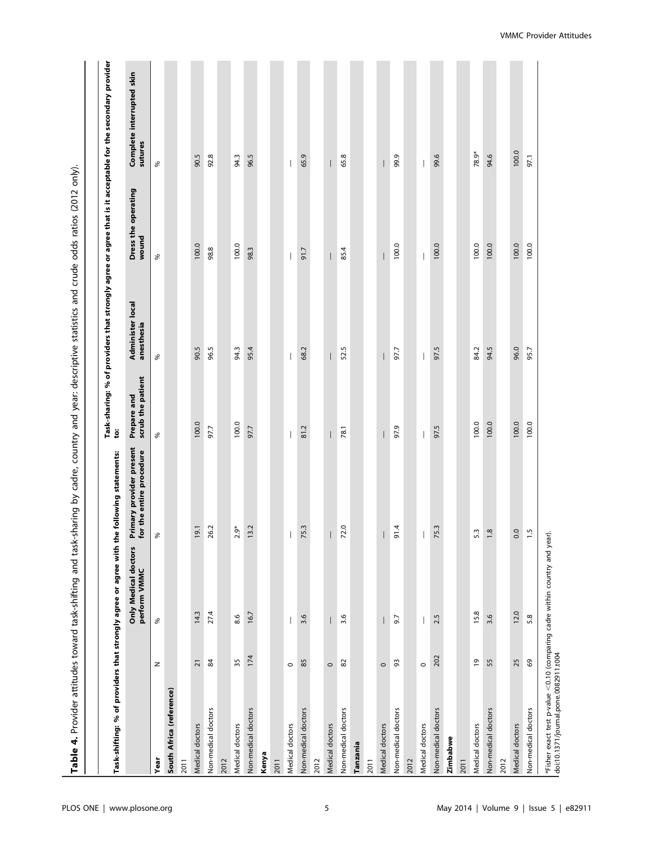| 14.3<br>27.4<br>16.7<br>8.6<br>℅<br>174<br>35<br>$\overline{8}$<br>$\overline{z}$<br>z<br>$\circ$<br>South Africa (reference)<br>Non-medical doctors<br>Non-medical doctors<br>Medical doctors<br>Medical doctors<br>Medical doctors<br>Kenya<br>Year<br>2012<br>2011<br>2011 | Only Medical doctors<br>perform VMMC | Primary provider present<br>or the entire procedure |                                  |                                       |                              |                                      |
|-------------------------------------------------------------------------------------------------------------------------------------------------------------------------------------------------------------------------------------------------------------------------------|--------------------------------------|-----------------------------------------------------|----------------------------------|---------------------------------------|------------------------------|--------------------------------------|
|                                                                                                                                                                                                                                                                               |                                      |                                                     | scrub the patient<br>Prepare and | <b>Administer local</b><br>anesthesia | Dress the operating<br>wound | Complete interrupted skin<br>sutures |
|                                                                                                                                                                                                                                                                               |                                      | Se                                                  | ℅                                | ℅                                     | ℅                            | ℅                                    |
|                                                                                                                                                                                                                                                                               |                                      |                                                     |                                  |                                       |                              |                                      |
|                                                                                                                                                                                                                                                                               |                                      |                                                     |                                  |                                       |                              |                                      |
|                                                                                                                                                                                                                                                                               |                                      | $\overline{9}$                                      | 100.0                            | 90.5                                  | 100.0                        | 90.5                                 |
|                                                                                                                                                                                                                                                                               |                                      | 6.2                                                 | 97.7                             | 96.5                                  | 98.8                         | 92.8                                 |
|                                                                                                                                                                                                                                                                               |                                      |                                                     |                                  |                                       |                              |                                      |
|                                                                                                                                                                                                                                                                               |                                      | $\ddot{5}$                                          | 100.0                            | 94.3                                  | 100.0                        | 94.3                                 |
|                                                                                                                                                                                                                                                                               |                                      | 3.2                                                 | 97.7                             | 95.4                                  | 98.3                         | 96.5                                 |
|                                                                                                                                                                                                                                                                               |                                      |                                                     |                                  |                                       |                              |                                      |
|                                                                                                                                                                                                                                                                               |                                      |                                                     |                                  |                                       |                              |                                      |
|                                                                                                                                                                                                                                                                               |                                      | $\overline{1}$                                      |                                  | $\overline{\phantom{a}}$              |                              |                                      |
| 3.6<br>85<br>Non-medical doctors                                                                                                                                                                                                                                              |                                      | 75.3                                                | 81.2                             | 68.2                                  | 91.7                         | 65.9                                 |
| 2012                                                                                                                                                                                                                                                                          |                                      |                                                     |                                  |                                       |                              |                                      |
| $\circ$<br>Medical doctors                                                                                                                                                                                                                                                    |                                      | $\overline{1}$                                      | $\overline{\phantom{a}}$         |                                       |                              |                                      |
| 3.6<br>$82$<br>Non-medical doctors                                                                                                                                                                                                                                            |                                      | 72.0                                                | 78.1                             | 52.5                                  | 85.4                         | 65.8                                 |
| Tanzania                                                                                                                                                                                                                                                                      |                                      |                                                     |                                  |                                       |                              |                                      |
| 2011                                                                                                                                                                                                                                                                          |                                      |                                                     |                                  |                                       |                              |                                      |
| $\circ$<br>Medical doctors                                                                                                                                                                                                                                                    |                                      | $\mathbf{I}$                                        |                                  |                                       |                              |                                      |
| 9.7<br>93<br>Non-medical doctors                                                                                                                                                                                                                                              |                                      | 91.4                                                | 97.9                             | 97.7                                  | 100.0                        | 99.9                                 |
| 2012                                                                                                                                                                                                                                                                          |                                      |                                                     |                                  |                                       |                              |                                      |
| $\overline{1}$<br>$\circ$<br>Medical doctors                                                                                                                                                                                                                                  |                                      |                                                     | $\overline{1}$                   | $\begin{array}{c} \hline \end{array}$ | $\mathbf{I}$                 | $\overline{\phantom{a}}$             |
| 2.5<br>202<br>Non-medical doctors                                                                                                                                                                                                                                             |                                      | 75.3                                                | 97.5                             | 97.5                                  | 100.0                        | 99.6                                 |
| Zimbabwe                                                                                                                                                                                                                                                                      |                                      |                                                     |                                  |                                       |                              |                                      |
| 2011                                                                                                                                                                                                                                                                          |                                      |                                                     |                                  |                                       |                              |                                      |
| 15.8<br>$\overline{6}$<br>Medical doctors                                                                                                                                                                                                                                     |                                      | 5.3                                                 | 100.0                            | 84.2                                  | 100.0                        | 78.9*                                |
| 3.6<br>55<br>Non-medical doctors                                                                                                                                                                                                                                              |                                      | œ.                                                  | 100.0                            | 94.5                                  | 100.0                        | 94.6                                 |
| 2012                                                                                                                                                                                                                                                                          |                                      |                                                     |                                  |                                       |                              |                                      |
| 12.0<br>25<br>Medical doctors                                                                                                                                                                                                                                                 |                                      | 0.0                                                 | 100.0                            | 96.0                                  | 100.0                        | 100.0                                |
| 5.8<br>$\mathbb{S}^9$<br>Non-medical doctors                                                                                                                                                                                                                                  |                                      | Lņ                                                  | 100.0                            | 95.7                                  | 100.0                        | 97.1                                 |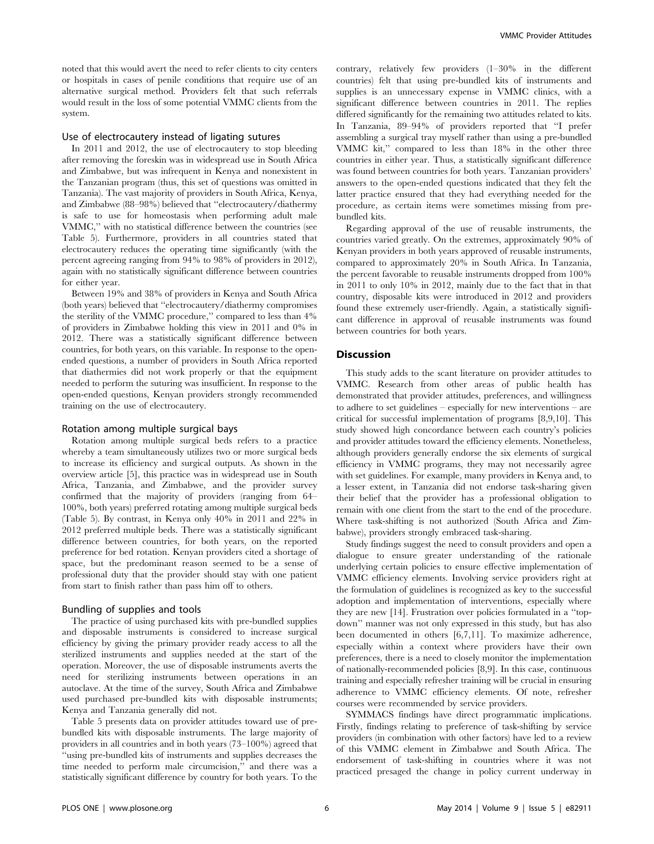noted that this would avert the need to refer clients to city centers or hospitals in cases of penile conditions that require use of an alternative surgical method. Providers felt that such referrals would result in the loss of some potential VMMC clients from the system.

#### Use of electrocautery instead of ligating sutures

In 2011 and 2012, the use of electrocautery to stop bleeding after removing the foreskin was in widespread use in South Africa and Zimbabwe, but was infrequent in Kenya and nonexistent in the Tanzanian program (thus, this set of questions was omitted in Tanzania). The vast majority of providers in South Africa, Kenya, and Zimbabwe (88–98%) believed that ''electrocautery/diathermy is safe to use for homeostasis when performing adult male VMMC,'' with no statistical difference between the countries (see Table 5). Furthermore, providers in all countries stated that electrocautery reduces the operating time significantly (with the percent agreeing ranging from 94% to 98% of providers in 2012), again with no statistically significant difference between countries for either year.

Between 19% and 38% of providers in Kenya and South Africa (both years) believed that ''electrocautery/diathermy compromises the sterility of the VMMC procedure,'' compared to less than 4% of providers in Zimbabwe holding this view in 2011 and 0% in 2012. There was a statistically significant difference between countries, for both years, on this variable. In response to the openended questions, a number of providers in South Africa reported that diathermies did not work properly or that the equipment needed to perform the suturing was insufficient. In response to the open-ended questions, Kenyan providers strongly recommended training on the use of electrocautery.

## Rotation among multiple surgical bays

Rotation among multiple surgical beds refers to a practice whereby a team simultaneously utilizes two or more surgical beds to increase its efficiency and surgical outputs. As shown in the overview article [5], this practice was in widespread use in South Africa, Tanzania, and Zimbabwe, and the provider survey confirmed that the majority of providers (ranging from 64– 100%, both years) preferred rotating among multiple surgical beds (Table 5). By contrast, in Kenya only 40% in 2011 and 22% in 2012 preferred multiple beds. There was a statistically significant difference between countries, for both years, on the reported preference for bed rotation. Kenyan providers cited a shortage of space, but the predominant reason seemed to be a sense of professional duty that the provider should stay with one patient from start to finish rather than pass him off to others.

## Bundling of supplies and tools

The practice of using purchased kits with pre-bundled supplies and disposable instruments is considered to increase surgical efficiency by giving the primary provider ready access to all the sterilized instruments and supplies needed at the start of the operation. Moreover, the use of disposable instruments averts the need for sterilizing instruments between operations in an autoclave. At the time of the survey, South Africa and Zimbabwe used purchased pre-bundled kits with disposable instruments; Kenya and Tanzania generally did not.

Table 5 presents data on provider attitudes toward use of prebundled kits with disposable instruments. The large majority of providers in all countries and in both years (73–100%) agreed that ''using pre-bundled kits of instruments and supplies decreases the time needed to perform male circumcision,'' and there was a statistically significant difference by country for both years. To the contrary, relatively few providers (1–30% in the different countries) felt that using pre-bundled kits of instruments and supplies is an unnecessary expense in VMMC clinics, with a significant difference between countries in 2011. The replies differed significantly for the remaining two attitudes related to kits. In Tanzania, 89–94% of providers reported that ''I prefer assembling a surgical tray myself rather than using a pre-bundled VMMC kit,'' compared to less than 18% in the other three countries in either year. Thus, a statistically significant difference was found between countries for both years. Tanzanian providers' answers to the open-ended questions indicated that they felt the latter practice ensured that they had everything needed for the procedure, as certain items were sometimes missing from prebundled kits.

Regarding approval of the use of reusable instruments, the countries varied greatly. On the extremes, approximately 90% of Kenyan providers in both years approved of reusable instruments, compared to approximately 20% in South Africa. In Tanzania, the percent favorable to reusable instruments dropped from 100% in 2011 to only 10% in 2012, mainly due to the fact that in that country, disposable kits were introduced in 2012 and providers found these extremely user-friendly. Again, a statistically significant difference in approval of reusable instruments was found between countries for both years.

## **Discussion**

This study adds to the scant literature on provider attitudes to VMMC. Research from other areas of public health has demonstrated that provider attitudes, preferences, and willingness to adhere to set guidelines – especially for new interventions – are critical for successful implementation of programs [8,9,10]. This study showed high concordance between each country's policies and provider attitudes toward the efficiency elements. Nonetheless, although providers generally endorse the six elements of surgical efficiency in VMMC programs, they may not necessarily agree with set guidelines. For example, many providers in Kenya and, to a lesser extent, in Tanzania did not endorse task-sharing given their belief that the provider has a professional obligation to remain with one client from the start to the end of the procedure. Where task-shifting is not authorized (South Africa and Zimbabwe), providers strongly embraced task-sharing.

Study findings suggest the need to consult providers and open a dialogue to ensure greater understanding of the rationale underlying certain policies to ensure effective implementation of VMMC efficiency elements. Involving service providers right at the formulation of guidelines is recognized as key to the successful adoption and implementation of interventions, especially where they are new [14]. Frustration over policies formulated in a ''topdown'' manner was not only expressed in this study, but has also been documented in others [6,7,11]. To maximize adherence, especially within a context where providers have their own preferences, there is a need to closely monitor the implementation of nationally-recommended policies [8,9]. In this case, continuous training and especially refresher training will be crucial in ensuring adherence to VMMC efficiency elements. Of note, refresher courses were recommended by service providers.

SYMMACS findings have direct programmatic implications. Firstly, findings relating to preference of task-shifting by service providers (in combination with other factors) have led to a review of this VMMC element in Zimbabwe and South Africa. The endorsement of task-shifting in countries where it was not practiced presaged the change in policy current underway in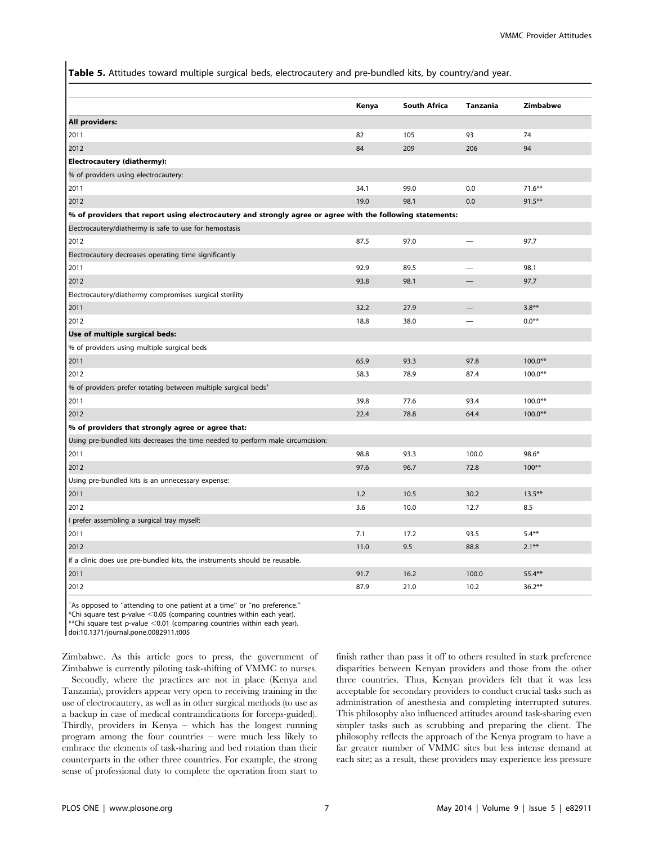Table 5. Attitudes toward multiple surgical beds, electrocautery and pre-bundled kits, by country/and year.

|                                                                                                            | Kenya | South Africa | Tanzania | Zimbabwe  |
|------------------------------------------------------------------------------------------------------------|-------|--------------|----------|-----------|
| All providers:                                                                                             |       |              |          |           |
| 2011                                                                                                       | 82    | 105          | 93       | 74        |
| 2012                                                                                                       | 84    | 209          | 206      | 94        |
| Electrocautery (diathermy):                                                                                |       |              |          |           |
| % of providers using electrocautery:                                                                       |       |              |          |           |
| 2011                                                                                                       | 34.1  | 99.0         | 0.0      | $71.6***$ |
| 2012                                                                                                       | 19.0  | 98.1         | 0.0      | $91.5***$ |
| % of providers that report using electrocautery and strongly agree or agree with the following statements: |       |              |          |           |
| Electrocautery/diathermy is safe to use for hemostasis                                                     |       |              |          |           |
| 2012                                                                                                       | 87.5  | 97.0         |          | 97.7      |
| Electrocautery decreases operating time significantly                                                      |       |              |          |           |
| 2011                                                                                                       | 92.9  | 89.5         |          | 98.1      |
| 2012                                                                                                       | 93.8  | 98.1         |          | 97.7      |
| Electrocautery/diathermy compromises surgical sterility                                                    |       |              |          |           |
| 2011                                                                                                       | 32.2  | 27.9         |          | $3.8***$  |
| 2012                                                                                                       | 18.8  | 38.0         |          | $0.0**$   |
| Use of multiple surgical beds:                                                                             |       |              |          |           |
| % of providers using multiple surgical beds                                                                |       |              |          |           |
| 2011                                                                                                       | 65.9  | 93.3         | 97.8     | $100.0**$ |
| 2012                                                                                                       | 58.3  | 78.9         | 87.4     | $100.0**$ |
| % of providers prefer rotating between multiple surgical beds <sup>+</sup>                                 |       |              |          |           |
| 2011                                                                                                       | 39.8  | 77.6         | 93.4     | $100.0**$ |
| 2012                                                                                                       | 22.4  | 78.8         | 64.4     | $100.0**$ |
| % of providers that strongly agree or agree that:                                                          |       |              |          |           |
| Using pre-bundled kits decreases the time needed to perform male circumcision:                             |       |              |          |           |
| 2011                                                                                                       | 98.8  | 93.3         | 100.0    | 98.6*     |
| 2012                                                                                                       | 97.6  | 96.7         | 72.8     | $100**$   |
| Using pre-bundled kits is an unnecessary expense:                                                          |       |              |          |           |
| 2011                                                                                                       | 1.2   | 10.5         | 30.2     | $13.5***$ |
| 2012                                                                                                       | 3.6   | 10.0         | 12.7     | 8.5       |
| I prefer assembling a surgical tray myself:                                                                |       |              |          |           |
| 2011                                                                                                       | 7.1   | 17.2         | 93.5     | $5.4***$  |
| 2012                                                                                                       | 11.0  | 9.5          | 88.8     | $2.1***$  |
| If a clinic does use pre-bundled kits, the instruments should be reusable.                                 |       |              |          |           |
| 2011                                                                                                       | 91.7  | 16.2         | 100.0    | $55.4***$ |
| 2012                                                                                                       | 87.9  | 21.0         | 10.2     | $36.2***$ |
|                                                                                                            |       |              |          |           |

+ As opposed to ''attending to one patient at a time'' or ''no preference.'' \*Chi square test p-value < $0.05$  (comparing countries within each year).  $*$ Chi square test p-value < 0.01 (comparing countries within each year). doi:10.1371/journal.pone.0082911.t005

Zimbabwe. As this article goes to press, the government of Zimbabwe is currently piloting task-shifting of VMMC to nurses.

Secondly, where the practices are not in place (Kenya and Tanzania), providers appear very open to receiving training in the use of electrocautery, as well as in other surgical methods (to use as a backup in case of medical contraindications for forceps-guided). Thirdly, providers in Kenya – which has the longest running program among the four countries – were much less likely to embrace the elements of task-sharing and bed rotation than their counterparts in the other three countries. For example, the strong sense of professional duty to complete the operation from start to finish rather than pass it off to others resulted in stark preference disparities between Kenyan providers and those from the other three countries. Thus, Kenyan providers felt that it was less acceptable for secondary providers to conduct crucial tasks such as administration of anesthesia and completing interrupted sutures. This philosophy also influenced attitudes around task-sharing even simpler tasks such as scrubbing and preparing the client. The philosophy reflects the approach of the Kenya program to have a far greater number of VMMC sites but less intense demand at each site; as a result, these providers may experience less pressure